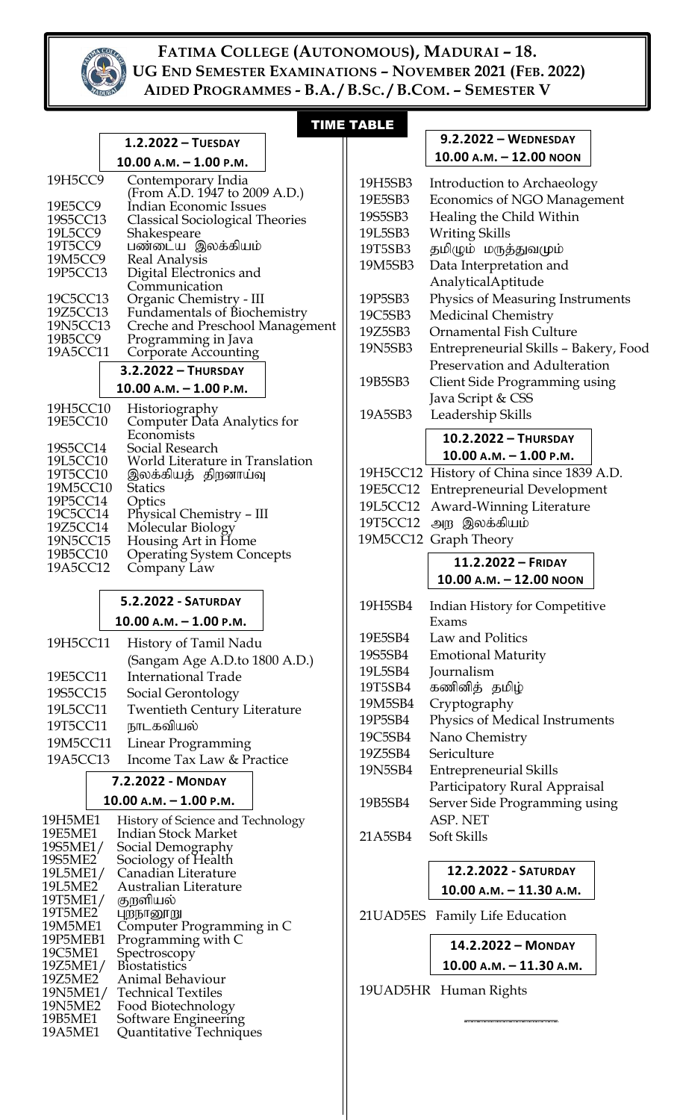

 $\overline{\phantom{a}}$ 

**1.2.2022 – TUESDAY**

 $\overline{\phantom{a}}$ 

## TIME TABLE

 $\mathbb{I}$ 

## **9.2.2022 – WEDNESDAY**

|                      | $10.00$ A.M. $- 1.00$ P.M.                                      |         | 10.00 A.M. - 12.00 NOON                   |  |
|----------------------|-----------------------------------------------------------------|---------|-------------------------------------------|--|
| 19H5CC9              |                                                                 |         |                                           |  |
|                      | Contemporary India<br>(From A.D. 1947 to 2009 A.D.)             | 19H5SB3 | Introduction to Archaeology               |  |
| 19E5CC9              | Indian Economic Issues                                          | 19E5SB3 | Economics of NGO Management               |  |
| 19S5CC13             | <b>Classical Sociological Theories</b>                          | 19S5SB3 | Healing the Child Within                  |  |
| 19L5CC9              | Shakespeare                                                     | 19L5SB3 | <b>Writing Skills</b>                     |  |
| 19T5CC9              | பண்டைய இலக்கியம்                                                | 19T5SB3 | தமிழும் மருத்துவமும்                      |  |
| 19M5CC9<br>19P5CC13  | <b>Real Analysis</b><br>Digital Electronics and                 | 19M5SB3 | Data Interpretation and                   |  |
|                      | Communication                                                   |         | AnalyticalAptitude                        |  |
| 19C5CC13             | Organic Chemistry - III                                         | 19P5SB3 | Physics of Measuring Instruments          |  |
| 19Z5CC13             | Fundamentals of Biochemistry                                    | 19C5SB3 | <b>Medicinal Chemistry</b>                |  |
| 19N5CC13             | Creche and Preschool Management                                 | 19Z5SB3 | <b>Ornamental Fish Culture</b>            |  |
| 19B5CC9<br>19A5CC11  | Programming in Java                                             | 19N5SB3 | Entrepreneurial Skills - Bakery, Food     |  |
|                      | Corporate Accounting                                            |         | Preservation and Adulteration             |  |
|                      | 3.2.2022 - THURSDAY                                             | 19B5SB3 | Client Side Programming using             |  |
|                      | $10.00 A.M. - 1.00 P.M.$                                        |         | Java Script & CSS                         |  |
| 19H5CC10             | Historiography<br>Computer Data Analytics for                   | 19A5SB3 | Leadership Skills                         |  |
| 19E5CC10             |                                                                 |         |                                           |  |
| 19S5CC14             | Economists<br>Social Research                                   |         | 10.2.2022 - THURSDAY                      |  |
| 19L5CC10             | World Literature in Translation                                 |         | $10.00$ A.M. $- 1.00$ P.M.                |  |
| 19T5CC10             | இலக்கியத் திறனாய்வு                                             |         | 19H5CC12 History of China since 1839 A.D. |  |
| 19M5CC10             | <b>Statics</b>                                                  |         | 19E5CC12 Entrepreneurial Development      |  |
| 19P5CC14             | Optics                                                          |         | 19L5CC12 Award-Winning Literature         |  |
| 19C5CC14<br>19Z5CC14 | Physical Chemistry - III<br>Molecular Biology                   |         | 19T5CC12 அற இலக்கியம்                     |  |
| 19N5CC15             | Housing Art in Home                                             |         | 19M5CC12 Graph Theory                     |  |
| 19B5CC10             | <b>Operating System Concepts</b>                                |         |                                           |  |
| 19A5CC12             | Company Law                                                     |         | 11.2.2022 - FRIDAY                        |  |
|                      |                                                                 |         | $10.00$ A.M. $- 12.00$ NOON               |  |
|                      | 5.2.2022 - SATURDAY                                             | 19H5SB4 | Indian History for Competitive            |  |
|                      | $10.00 A.M. - 1.00 P.M.$                                        |         | Exams                                     |  |
| 19H5CC11             |                                                                 | 19E5SB4 | Law and Politics                          |  |
|                      | History of Tamil Nadu                                           | 19S5SB4 | <b>Emotional Maturity</b>                 |  |
|                      | (Sangam Age A.D.to 1800 A.D.)                                   | 19L5SB4 | Journalism                                |  |
| 19E5CC11             | International Trade                                             | 19T5SB4 | கணினித் தமிழ்                             |  |
| 19S5CC15             | Social Gerontology                                              | 19M5SB4 | Cryptography                              |  |
| 19L5CC11             | <b>Twentieth Century Literature</b>                             | 19P5SB4 | Physics of Medical Instruments            |  |
| 19T5CC11             | நாடகவியல்                                                       | 19C5SB4 | Nano Chemistry                            |  |
| 19M5CC11             | <b>Linear Programming</b>                                       | 19Z5SB4 | Sericulture                               |  |
| 19A5CC13             | Income Tax Law & Practice                                       | 19N5SB4 | <b>Entrepreneurial Skills</b>             |  |
|                      | 7.2.2022 - MONDAY                                               |         |                                           |  |
|                      | $10.00 A.M. - 1.00 P.M.$                                        |         | Participatory Rural Appraisal             |  |
|                      |                                                                 | 19B5SB4 | Server Side Programming using             |  |
| 19H5ME1<br>19E5ME1   | History of Science and Technology<br><b>Indian Stock Market</b> |         | ASP. NET                                  |  |
| 19S5ME1/             | Social Demography                                               | 21A5SB4 | Soft Skills                               |  |
| 19S5ME2              | Sociology of Health                                             |         |                                           |  |
| 19L5ME1/             | Canadian Literature                                             |         | 12.2.2022 - SATURDAY                      |  |
| 19L5ME2              | Australian Literature                                           |         | $10.00$ A.M. $- 11.30$ A.M.               |  |
| 19T5ME1/<br>19T5ME2  | குறளியல்<br>புறநானூறு                                           |         | 21 UAD5ES Family Life Education           |  |
| 19M5ME1<br>19P5MEB1  | Computer Programming in C<br>Programming with C                 |         | 14.2.2022 - MONDAY                        |  |
| 19C5ME1              | Spectroscopy                                                    |         |                                           |  |
| 19Z5ME1/<br>19Z5ME2  | <b>Biostatistics</b><br>Animal Behaviour                        |         | 10.00 A.M. - 11.30 A.M.                   |  |
| 19N5ME1/             | <b>Technical Textiles</b>                                       |         | 19UAD5HR Human Rights                     |  |
| 19N5ME2              | Food Biotechnology                                              |         |                                           |  |
| 19B5ME1              | Software Engineering                                            |         |                                           |  |
| 19A5ME1              | Quantitative Techniques                                         |         |                                           |  |
|                      |                                                                 |         |                                           |  |